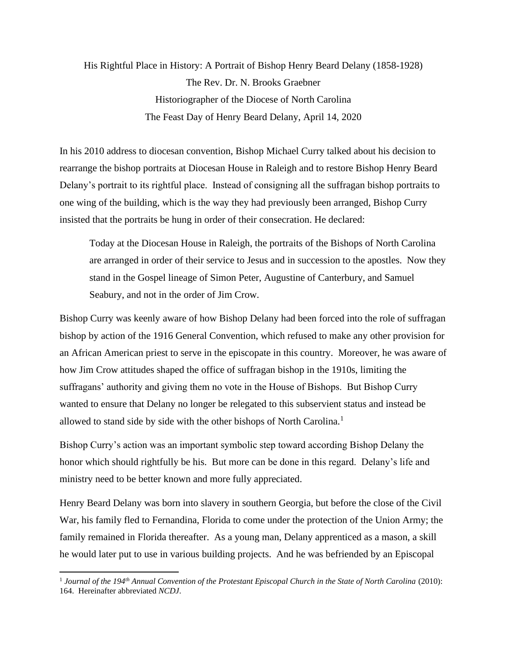His Rightful Place in History: A Portrait of Bishop Henry Beard Delany (1858-1928) The Rev. Dr. N. Brooks Graebner Historiographer of the Diocese of North Carolina The Feast Day of Henry Beard Delany, April 14, 2020

In his 2010 address to diocesan convention, Bishop Michael Curry talked about his decision to rearrange the bishop portraits at Diocesan House in Raleigh and to restore Bishop Henry Beard Delany's portrait to its rightful place. Instead of consigning all the suffragan bishop portraits to one wing of the building, which is the way they had previously been arranged, Bishop Curry insisted that the portraits be hung in order of their consecration. He declared:

Today at the Diocesan House in Raleigh, the portraits of the Bishops of North Carolina are arranged in order of their service to Jesus and in succession to the apostles. Now they stand in the Gospel lineage of Simon Peter, Augustine of Canterbury, and Samuel Seabury, and not in the order of Jim Crow.

Bishop Curry was keenly aware of how Bishop Delany had been forced into the role of suffragan bishop by action of the 1916 General Convention, which refused to make any other provision for an African American priest to serve in the episcopate in this country. Moreover, he was aware of how Jim Crow attitudes shaped the office of suffragan bishop in the 1910s, limiting the suffragans' authority and giving them no vote in the House of Bishops. But Bishop Curry wanted to ensure that Delany no longer be relegated to this subservient status and instead be allowed to stand side by side with the other bishops of North Carolina.<sup>1</sup>

Bishop Curry's action was an important symbolic step toward according Bishop Delany the honor which should rightfully be his. But more can be done in this regard. Delany's life and ministry need to be better known and more fully appreciated.

Henry Beard Delany was born into slavery in southern Georgia, but before the close of the Civil War, his family fled to Fernandina, Florida to come under the protection of the Union Army; the family remained in Florida thereafter. As a young man, Delany apprenticed as a mason, a skill he would later put to use in various building projects. And he was befriended by an Episcopal

<sup>1</sup> *Journal of the 194th Annual Convention of the Protestant Episcopal Church in the State of North Carolina* (2010): 164. Hereinafter abbreviated *NCDJ*.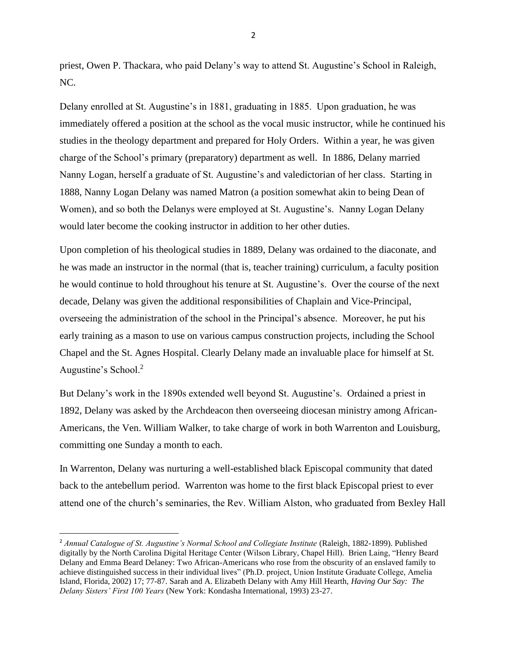priest, Owen P. Thackara, who paid Delany's way to attend St. Augustine's School in Raleigh, NC.

Delany enrolled at St. Augustine's in 1881, graduating in 1885. Upon graduation, he was immediately offered a position at the school as the vocal music instructor, while he continued his studies in the theology department and prepared for Holy Orders. Within a year, he was given charge of the School's primary (preparatory) department as well. In 1886, Delany married Nanny Logan, herself a graduate of St. Augustine's and valedictorian of her class. Starting in 1888, Nanny Logan Delany was named Matron (a position somewhat akin to being Dean of Women), and so both the Delanys were employed at St. Augustine's. Nanny Logan Delany would later become the cooking instructor in addition to her other duties.

Upon completion of his theological studies in 1889, Delany was ordained to the diaconate, and he was made an instructor in the normal (that is, teacher training) curriculum, a faculty position he would continue to hold throughout his tenure at St. Augustine's. Over the course of the next decade, Delany was given the additional responsibilities of Chaplain and Vice-Principal, overseeing the administration of the school in the Principal's absence. Moreover, he put his early training as a mason to use on various campus construction projects, including the School Chapel and the St. Agnes Hospital. Clearly Delany made an invaluable place for himself at St. Augustine's School.<sup>2</sup>

But Delany's work in the 1890s extended well beyond St. Augustine's. Ordained a priest in 1892, Delany was asked by the Archdeacon then overseeing diocesan ministry among African-Americans, the Ven. William Walker, to take charge of work in both Warrenton and Louisburg, committing one Sunday a month to each.

In Warrenton, Delany was nurturing a well-established black Episcopal community that dated back to the antebellum period. Warrenton was home to the first black Episcopal priest to ever attend one of the church's seminaries, the Rev. William Alston, who graduated from Bexley Hall

2

<sup>&</sup>lt;sup>2</sup> Annual Catalogue of St. Augustine's Normal School and Collegiate Institute (Raleigh, 1882-1899). Published digitally by the North Carolina Digital Heritage Center (Wilson Library, Chapel Hill). Brien Laing, "Henry Beard Delany and Emma Beard Delaney: Two African-Americans who rose from the obscurity of an enslaved family to achieve distinguished success in their individual lives" (Ph.D. project, Union Institute Graduate College, Amelia Island, Florida, 2002) 17; 77-87. Sarah and A. Elizabeth Delany with Amy Hill Hearth, *Having Our Say: The Delany Sisters' First 100 Years* (New York: Kondasha International, 1993) 23-27.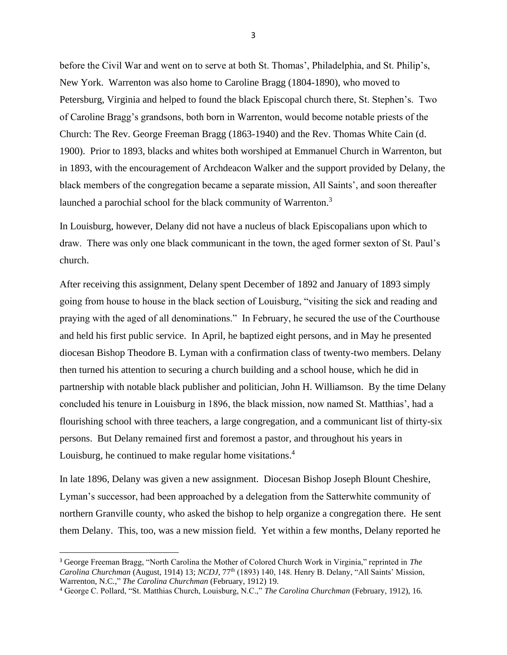before the Civil War and went on to serve at both St. Thomas', Philadelphia, and St. Philip's, New York. Warrenton was also home to Caroline Bragg (1804-1890), who moved to Petersburg, Virginia and helped to found the black Episcopal church there, St. Stephen's. Two of Caroline Bragg's grandsons, both born in Warrenton, would become notable priests of the Church: The Rev. George Freeman Bragg (1863-1940) and the Rev. Thomas White Cain (d. 1900). Prior to 1893, blacks and whites both worshiped at Emmanuel Church in Warrenton, but in 1893, with the encouragement of Archdeacon Walker and the support provided by Delany, the black members of the congregation became a separate mission, All Saints', and soon thereafter launched a parochial school for the black community of Warrenton.<sup>3</sup>

In Louisburg, however, Delany did not have a nucleus of black Episcopalians upon which to draw. There was only one black communicant in the town, the aged former sexton of St. Paul's church.

After receiving this assignment, Delany spent December of 1892 and January of 1893 simply going from house to house in the black section of Louisburg, "visiting the sick and reading and praying with the aged of all denominations." In February, he secured the use of the Courthouse and held his first public service. In April, he baptized eight persons, and in May he presented diocesan Bishop Theodore B. Lyman with a confirmation class of twenty-two members. Delany then turned his attention to securing a church building and a school house, which he did in partnership with notable black publisher and politician, John H. Williamson. By the time Delany concluded his tenure in Louisburg in 1896, the black mission, now named St. Matthias', had a flourishing school with three teachers, a large congregation, and a communicant list of thirty-six persons. But Delany remained first and foremost a pastor, and throughout his years in Louisburg, he continued to make regular home visitations.<sup>4</sup>

In late 1896, Delany was given a new assignment. Diocesan Bishop Joseph Blount Cheshire, Lyman's successor, had been approached by a delegation from the Satterwhite community of northern Granville county, who asked the bishop to help organize a congregation there. He sent them Delany. This, too, was a new mission field. Yet within a few months, Delany reported he

3

<sup>3</sup> George Freeman Bragg, "North Carolina the Mother of Colored Church Work in Virginia," reprinted in *The Carolina Churchman* (August, 1914) 13; *NCDJ*, 77th (1893) 140, 148. Henry B. Delany, "All Saints' Mission, Warrenton, N.C.," *The Carolina Churchman* (February, 1912) 19.

<sup>4</sup> George C. Pollard, "St. Matthias Church, Louisburg, N.C.," *The Carolina Churchman* (February, 1912), 16.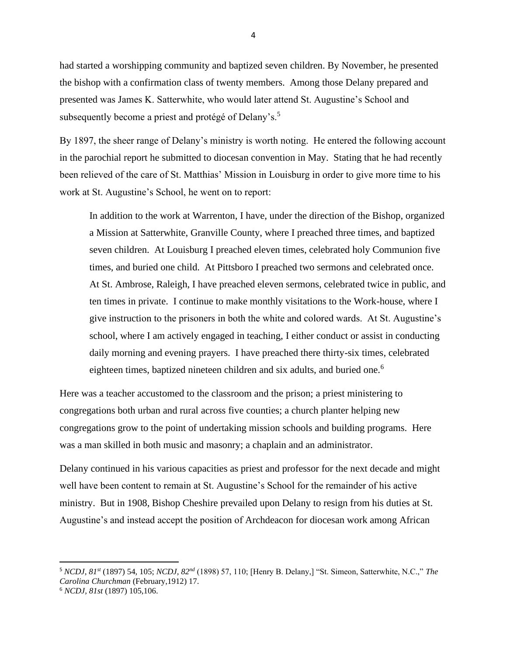had started a worshipping community and baptized seven children. By November, he presented the bishop with a confirmation class of twenty members. Among those Delany prepared and presented was James K. Satterwhite, who would later attend St. Augustine's School and subsequently become a priest and protégé of Delany's.<sup>5</sup>

By 1897, the sheer range of Delany's ministry is worth noting. He entered the following account in the parochial report he submitted to diocesan convention in May. Stating that he had recently been relieved of the care of St. Matthias' Mission in Louisburg in order to give more time to his work at St. Augustine's School, he went on to report:

In addition to the work at Warrenton, I have, under the direction of the Bishop, organized a Mission at Satterwhite, Granville County, where I preached three times, and baptized seven children. At Louisburg I preached eleven times, celebrated holy Communion five times, and buried one child. At Pittsboro I preached two sermons and celebrated once. At St. Ambrose, Raleigh, I have preached eleven sermons, celebrated twice in public, and ten times in private. I continue to make monthly visitations to the Work-house, where I give instruction to the prisoners in both the white and colored wards. At St. Augustine's school, where I am actively engaged in teaching, I either conduct or assist in conducting daily morning and evening prayers. I have preached there thirty-six times, celebrated eighteen times, baptized nineteen children and six adults, and buried one.<sup>6</sup>

Here was a teacher accustomed to the classroom and the prison; a priest ministering to congregations both urban and rural across five counties; a church planter helping new congregations grow to the point of undertaking mission schools and building programs. Here was a man skilled in both music and masonry; a chaplain and an administrator.

Delany continued in his various capacities as priest and professor for the next decade and might well have been content to remain at St. Augustine's School for the remainder of his active ministry. But in 1908, Bishop Cheshire prevailed upon Delany to resign from his duties at St. Augustine's and instead accept the position of Archdeacon for diocesan work among African

<sup>5</sup> *NCDJ, 81st* (1897) 54, 105; *NCDJ, 82nd* (1898) 57, 110; [Henry B. Delany,] "St. Simeon, Satterwhite, N.C.," *The Carolina Churchman* (February,1912) 17.

<sup>6</sup> *NCDJ, 81st* (1897) 105,106.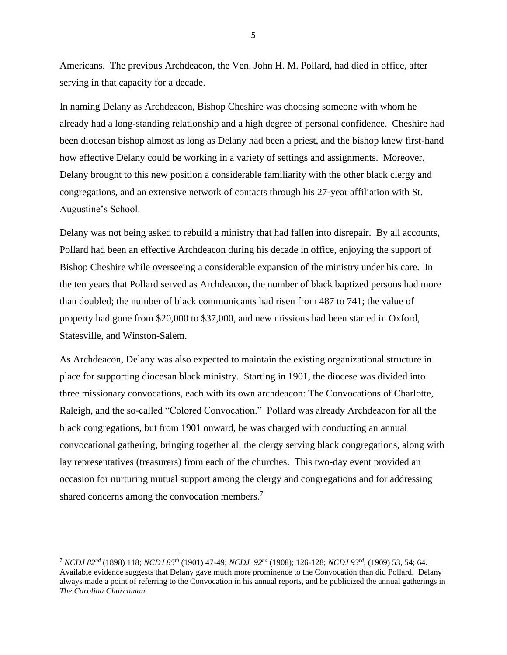Americans. The previous Archdeacon, the Ven. John H. M. Pollard, had died in office, after serving in that capacity for a decade.

In naming Delany as Archdeacon, Bishop Cheshire was choosing someone with whom he already had a long-standing relationship and a high degree of personal confidence. Cheshire had been diocesan bishop almost as long as Delany had been a priest, and the bishop knew first-hand how effective Delany could be working in a variety of settings and assignments. Moreover, Delany brought to this new position a considerable familiarity with the other black clergy and congregations, and an extensive network of contacts through his 27-year affiliation with St. Augustine's School.

Delany was not being asked to rebuild a ministry that had fallen into disrepair. By all accounts, Pollard had been an effective Archdeacon during his decade in office, enjoying the support of Bishop Cheshire while overseeing a considerable expansion of the ministry under his care. In the ten years that Pollard served as Archdeacon, the number of black baptized persons had more than doubled; the number of black communicants had risen from 487 to 741; the value of property had gone from \$20,000 to \$37,000, and new missions had been started in Oxford, Statesville, and Winston-Salem.

As Archdeacon, Delany was also expected to maintain the existing organizational structure in place for supporting diocesan black ministry. Starting in 1901, the diocese was divided into three missionary convocations, each with its own archdeacon: The Convocations of Charlotte, Raleigh, and the so-called "Colored Convocation." Pollard was already Archdeacon for all the black congregations, but from 1901 onward, he was charged with conducting an annual convocational gathering, bringing together all the clergy serving black congregations, along with lay representatives (treasurers) from each of the churches. This two-day event provided an occasion for nurturing mutual support among the clergy and congregations and for addressing shared concerns among the convocation members.<sup>7</sup>

5

<sup>7</sup> *NCDJ 82nd* (1898) 118; *NCDJ 85th* (1901) 47-49; *NCDJ 92nd* (1908); 126-128; *NCDJ 93rd ,* (1909) 53, 54; 64. Available evidence suggests that Delany gave much more prominence to the Convocation than did Pollard. Delany always made a point of referring to the Convocation in his annual reports, and he publicized the annual gatherings in *The Carolina Churchman*.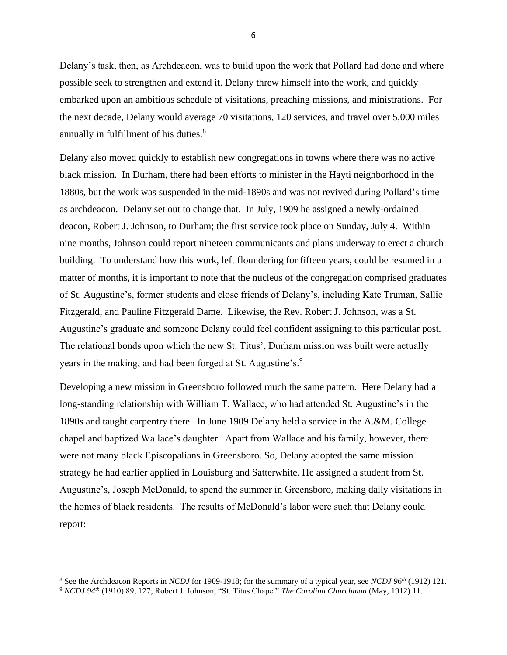Delany's task, then, as Archdeacon, was to build upon the work that Pollard had done and where possible seek to strengthen and extend it. Delany threw himself into the work, and quickly embarked upon an ambitious schedule of visitations, preaching missions, and ministrations. For the next decade, Delany would average 70 visitations, 120 services, and travel over 5,000 miles annually in fulfillment of his duties.<sup>8</sup>

Delany also moved quickly to establish new congregations in towns where there was no active black mission. In Durham, there had been efforts to minister in the Hayti neighborhood in the 1880s, but the work was suspended in the mid-1890s and was not revived during Pollard's time as archdeacon. Delany set out to change that. In July, 1909 he assigned a newly-ordained deacon, Robert J. Johnson, to Durham; the first service took place on Sunday, July 4. Within nine months, Johnson could report nineteen communicants and plans underway to erect a church building. To understand how this work, left floundering for fifteen years, could be resumed in a matter of months, it is important to note that the nucleus of the congregation comprised graduates of St. Augustine's, former students and close friends of Delany's, including Kate Truman, Sallie Fitzgerald, and Pauline Fitzgerald Dame. Likewise, the Rev. Robert J. Johnson, was a St. Augustine's graduate and someone Delany could feel confident assigning to this particular post. The relational bonds upon which the new St. Titus', Durham mission was built were actually years in the making, and had been forged at St. Augustine's.<sup>9</sup>

Developing a new mission in Greensboro followed much the same pattern. Here Delany had a long-standing relationship with William T. Wallace, who had attended St. Augustine's in the 1890s and taught carpentry there. In June 1909 Delany held a service in the A.&M. College chapel and baptized Wallace's daughter. Apart from Wallace and his family, however, there were not many black Episcopalians in Greensboro. So, Delany adopted the same mission strategy he had earlier applied in Louisburg and Satterwhite. He assigned a student from St. Augustine's, Joseph McDonald, to spend the summer in Greensboro, making daily visitations in the homes of black residents. The results of McDonald's labor were such that Delany could report:

<sup>8</sup> See the Archdeacon Reports in *NCDJ* for 1909-1918; for the summary of a typical year, see *NCDJ 96th* (1912) 121.

<sup>9</sup> *NCDJ 94th* (1910) 89, 127; Robert J. Johnson, "St. Titus Chapel" *The Carolina Churchman* (May, 1912) 11.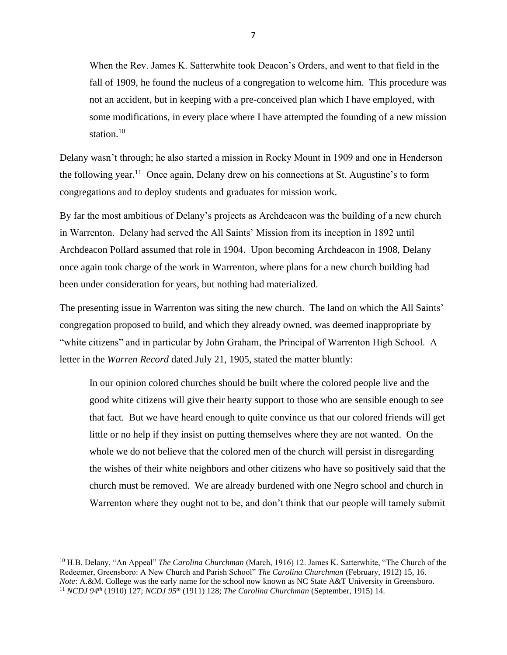When the Rev. James K. Satterwhite took Deacon's Orders, and went to that field in the fall of 1909, he found the nucleus of a congregation to welcome him. This procedure was not an accident, but in keeping with a pre-conceived plan which I have employed, with some modifications, in every place where I have attempted the founding of a new mission station.<sup>10</sup>

Delany wasn't through; he also started a mission in Rocky Mount in 1909 and one in Henderson the following year.<sup>11</sup> Once again, Delany drew on his connections at St. Augustine's to form congregations and to deploy students and graduates for mission work.

By far the most ambitious of Delany's projects as Archdeacon was the building of a new church in Warrenton. Delany had served the All Saints' Mission from its inception in 1892 until Archdeacon Pollard assumed that role in 1904. Upon becoming Archdeacon in 1908, Delany once again took charge of the work in Warrenton, where plans for a new church building had been under consideration for years, but nothing had materialized.

The presenting issue in Warrenton was siting the new church. The land on which the All Saints' congregation proposed to build, and which they already owned, was deemed inappropriate by "white citizens" and in particular by John Graham, the Principal of Warrenton High School. A letter in the *Warren Record* dated July 21, 1905, stated the matter bluntly:

In our opinion colored churches should be built where the colored people live and the good white citizens will give their hearty support to those who are sensible enough to see that fact. But we have heard enough to quite convince us that our colored friends will get little or no help if they insist on putting themselves where they are not wanted. On the whole we do not believe that the colored men of the church will persist in disregarding the wishes of their white neighbors and other citizens who have so positively said that the church must be removed. We are already burdened with one Negro school and church in Warrenton where they ought not to be, and don't think that our people will tamely submit

<sup>10</sup> H.B. Delany, "An Appeal" *The Carolina Churchman* (March, 1916) 12. James K. Satterwhite, "The Church of the Redeemer, Greensboro: A New Church and Parish School" *The Carolina Churchman* (February, 1912) 15, 16. *Note*: A.&M. College was the early name for the school now known as NC State A&T University in Greensboro. <sup>11</sup> *NCDJ 94th* (1910) 127; *NCDJ 95th* (1911) 128; *The Carolina Churchman* (September, 1915) 14.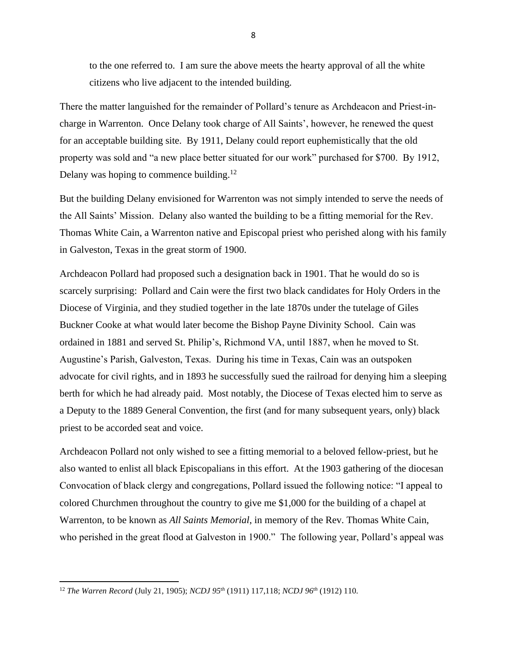to the one referred to. I am sure the above meets the hearty approval of all the white citizens who live adjacent to the intended building.

There the matter languished for the remainder of Pollard's tenure as Archdeacon and Priest-incharge in Warrenton. Once Delany took charge of All Saints', however, he renewed the quest for an acceptable building site. By 1911, Delany could report euphemistically that the old property was sold and "a new place better situated for our work" purchased for \$700. By 1912, Delany was hoping to commence building.<sup>12</sup>

But the building Delany envisioned for Warrenton was not simply intended to serve the needs of the All Saints' Mission. Delany also wanted the building to be a fitting memorial for the Rev. Thomas White Cain, a Warrenton native and Episcopal priest who perished along with his family in Galveston, Texas in the great storm of 1900.

Archdeacon Pollard had proposed such a designation back in 1901. That he would do so is scarcely surprising: Pollard and Cain were the first two black candidates for Holy Orders in the Diocese of Virginia, and they studied together in the late 1870s under the tutelage of Giles Buckner Cooke at what would later become the Bishop Payne Divinity School. Cain was ordained in 1881 and served St. Philip's, Richmond VA, until 1887, when he moved to St. Augustine's Parish, Galveston, Texas. During his time in Texas, Cain was an outspoken advocate for civil rights, and in 1893 he successfully sued the railroad for denying him a sleeping berth for which he had already paid. Most notably, the Diocese of Texas elected him to serve as a Deputy to the 1889 General Convention, the first (and for many subsequent years, only) black priest to be accorded seat and voice.

Archdeacon Pollard not only wished to see a fitting memorial to a beloved fellow-priest, but he also wanted to enlist all black Episcopalians in this effort. At the 1903 gathering of the diocesan Convocation of black clergy and congregations, Pollard issued the following notice: "I appeal to colored Churchmen throughout the country to give me \$1,000 for the building of a chapel at Warrenton, to be known as *All Saints Memorial*, in memory of the Rev. Thomas White Cain, who perished in the great flood at Galveston in 1900." The following year, Pollard's appeal was

<sup>12</sup> *The Warren Record* (July 21, 1905); *NCDJ 95th* (1911) 117,118; *NCDJ 96th* (1912) 110.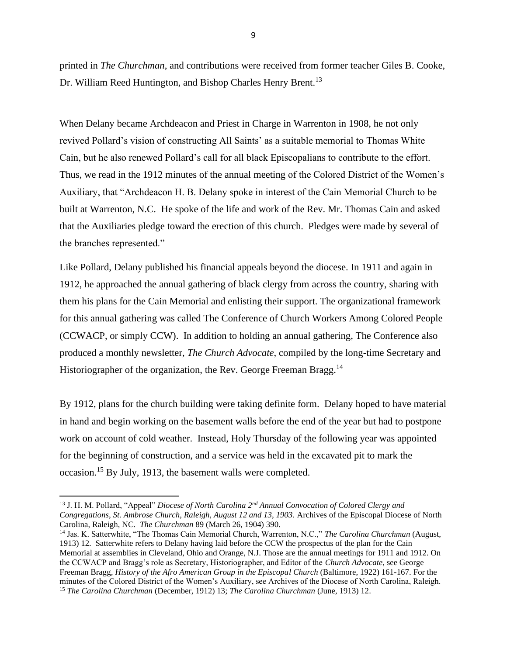printed in *The Churchman*, and contributions were received from former teacher Giles B. Cooke, Dr. William Reed Huntington, and Bishop Charles Henry Brent.<sup>13</sup>

When Delany became Archdeacon and Priest in Charge in Warrenton in 1908, he not only revived Pollard's vision of constructing All Saints' as a suitable memorial to Thomas White Cain, but he also renewed Pollard's call for all black Episcopalians to contribute to the effort. Thus, we read in the 1912 minutes of the annual meeting of the Colored District of the Women's Auxiliary, that "Archdeacon H. B. Delany spoke in interest of the Cain Memorial Church to be built at Warrenton, N.C. He spoke of the life and work of the Rev. Mr. Thomas Cain and asked that the Auxiliaries pledge toward the erection of this church. Pledges were made by several of the branches represented."

Like Pollard, Delany published his financial appeals beyond the diocese. In 1911 and again in 1912, he approached the annual gathering of black clergy from across the country, sharing with them his plans for the Cain Memorial and enlisting their support. The organizational framework for this annual gathering was called The Conference of Church Workers Among Colored People (CCWACP, or simply CCW). In addition to holding an annual gathering, The Conference also produced a monthly newsletter, *The Church Advocate*, compiled by the long-time Secretary and Historiographer of the organization, the Rev. George Freeman Bragg.<sup>14</sup>

By 1912, plans for the church building were taking definite form. Delany hoped to have material in hand and begin working on the basement walls before the end of the year but had to postpone work on account of cold weather. Instead, Holy Thursday of the following year was appointed for the beginning of construction, and a service was held in the excavated pit to mark the occasion.<sup>15</sup> By July, 1913, the basement walls were completed.

<sup>14</sup> Jas. K. Satterwhite, "The Thomas Cain Memorial Church, Warrenton, N.C.," *The Carolina Churchman* (August, 1913) 12. Satterwhite refers to Delany having laid before the CCW the prospectus of the plan for the Cain Memorial at assemblies in Cleveland, Ohio and Orange, N.J. Those are the annual meetings for 1911 and 1912. On the CCWACP and Bragg's role as Secretary, Historiographer, and Editor of the *Church Advocate*, see George Freeman Bragg, *History of the Afro American Group in the Episcopal Church* (Baltimore, 1922) 161-167. For the minutes of the Colored District of the Women's Auxiliary, see Archives of the Diocese of North Carolina, Raleigh. <sup>15</sup> *The Carolina Churchman* (December, 1912) 13; *The Carolina Churchman* (June, 1913) 12.

<sup>13</sup> J. H. M. Pollard, "Appeal" *Diocese of North Carolina 2nd Annual Convocation of Colored Clergy and Congregations, St. Ambrose Church, Raleigh, August 12 and 13, 1903.* Archives of the Episcopal Diocese of North Carolina, Raleigh, NC. *The Churchman* 89 (March 26, 1904) 390.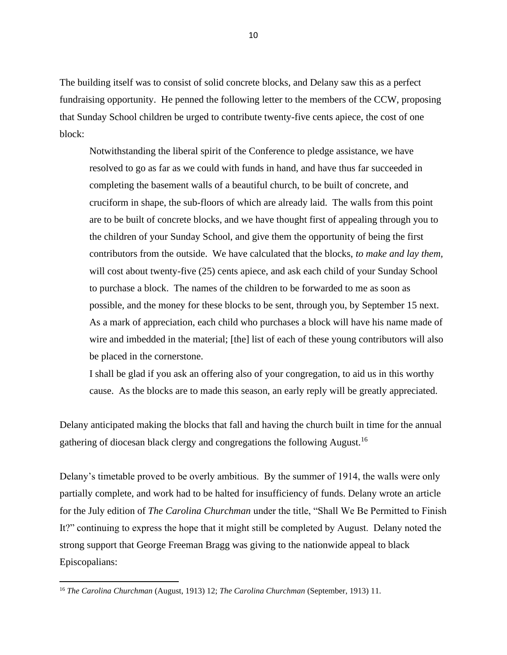The building itself was to consist of solid concrete blocks, and Delany saw this as a perfect fundraising opportunity. He penned the following letter to the members of the CCW, proposing that Sunday School children be urged to contribute twenty-five cents apiece, the cost of one block:

Notwithstanding the liberal spirit of the Conference to pledge assistance, we have resolved to go as far as we could with funds in hand, and have thus far succeeded in completing the basement walls of a beautiful church, to be built of concrete, and cruciform in shape, the sub-floors of which are already laid. The walls from this point are to be built of concrete blocks, and we have thought first of appealing through you to the children of your Sunday School, and give them the opportunity of being the first contributors from the outside. We have calculated that the blocks, *to make and lay them,*  will cost about twenty-five (25) cents apiece, and ask each child of your Sunday School to purchase a block. The names of the children to be forwarded to me as soon as possible, and the money for these blocks to be sent, through you, by September 15 next. As a mark of appreciation, each child who purchases a block will have his name made of wire and imbedded in the material; [the] list of each of these young contributors will also be placed in the cornerstone.

I shall be glad if you ask an offering also of your congregation, to aid us in this worthy cause. As the blocks are to made this season, an early reply will be greatly appreciated.

Delany anticipated making the blocks that fall and having the church built in time for the annual gathering of diocesan black clergy and congregations the following August.<sup>16</sup>

Delany's timetable proved to be overly ambitious. By the summer of 1914, the walls were only partially complete, and work had to be halted for insufficiency of funds. Delany wrote an article for the July edition of *The Carolina Churchman* under the title, "Shall We Be Permitted to Finish It?" continuing to express the hope that it might still be completed by August. Delany noted the strong support that George Freeman Bragg was giving to the nationwide appeal to black Episcopalians:

<sup>16</sup> *The Carolina Churchman* (August, 1913) 12; *The Carolina Churchman* (September, 1913) 11.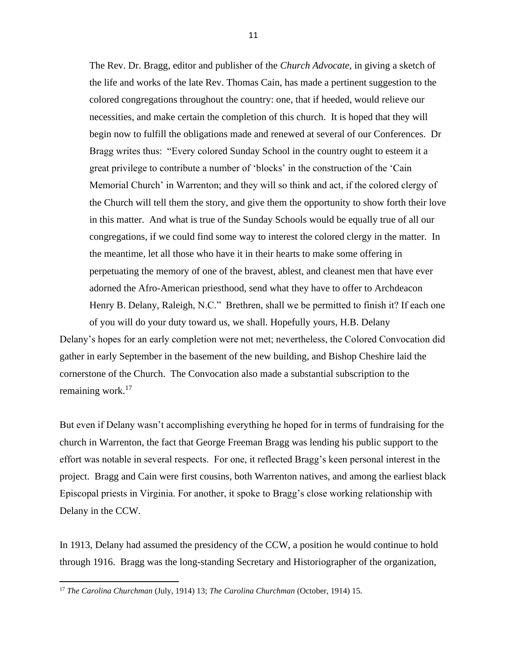The Rev. Dr. Bragg, editor and publisher of the *Church Advocate*, in giving a sketch of the life and works of the late Rev. Thomas Cain, has made a pertinent suggestion to the colored congregations throughout the country: one, that if heeded, would relieve our necessities, and make certain the completion of this church. It is hoped that they will begin now to fulfill the obligations made and renewed at several of our Conferences. Dr Bragg writes thus: "Every colored Sunday School in the country ought to esteem it a great privilege to contribute a number of 'blocks' in the construction of the 'Cain Memorial Church' in Warrenton; and they will so think and act, if the colored clergy of the Church will tell them the story, and give them the opportunity to show forth their love in this matter. And what is true of the Sunday Schools would be equally true of all our congregations, if we could find some way to interest the colored clergy in the matter. In the meantime, let all those who have it in their hearts to make some offering in perpetuating the memory of one of the bravest, ablest, and cleanest men that have ever adorned the Afro-American priesthood, send what they have to offer to Archdeacon Henry B. Delany, Raleigh, N.C." Brethren, shall we be permitted to finish it? If each one of you will do your duty toward us, we shall. Hopefully yours, H.B. Delany

Delany's hopes for an early completion were not met; nevertheless, the Colored Convocation did gather in early September in the basement of the new building, and Bishop Cheshire laid the cornerstone of the Church. The Convocation also made a substantial subscription to the remaining work. $17$ 

But even if Delany wasn't accomplishing everything he hoped for in terms of fundraising for the church in Warrenton, the fact that George Freeman Bragg was lending his public support to the effort was notable in several respects. For one, it reflected Bragg's keen personal interest in the project. Bragg and Cain were first cousins, both Warrenton natives, and among the earliest black Episcopal priests in Virginia. For another, it spoke to Bragg's close working relationship with Delany in the CCW.

In 1913, Delany had assumed the presidency of the CCW, a position he would continue to hold through 1916. Bragg was the long-standing Secretary and Historiographer of the organization,

<sup>17</sup> *The Carolina Churchman* (July, 1914) 13; *The Carolina Churchman* (October, 1914) 15.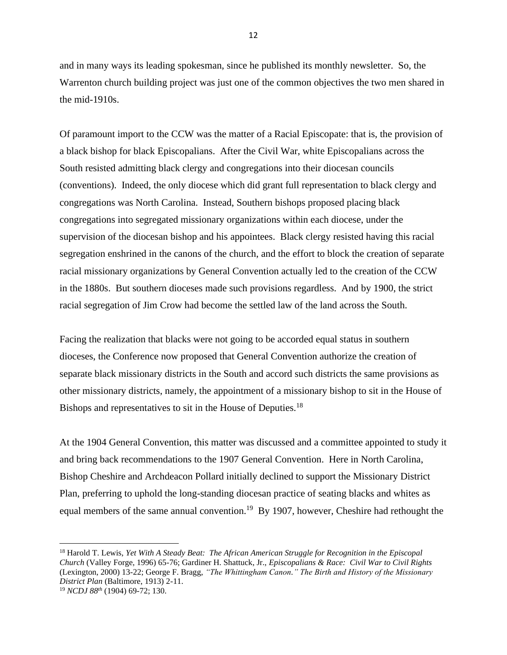and in many ways its leading spokesman, since he published its monthly newsletter. So, the Warrenton church building project was just one of the common objectives the two men shared in the mid-1910s.

Of paramount import to the CCW was the matter of a Racial Episcopate: that is, the provision of a black bishop for black Episcopalians. After the Civil War, white Episcopalians across the South resisted admitting black clergy and congregations into their diocesan councils (conventions). Indeed, the only diocese which did grant full representation to black clergy and congregations was North Carolina. Instead, Southern bishops proposed placing black congregations into segregated missionary organizations within each diocese, under the supervision of the diocesan bishop and his appointees. Black clergy resisted having this racial segregation enshrined in the canons of the church, and the effort to block the creation of separate racial missionary organizations by General Convention actually led to the creation of the CCW in the 1880s. But southern dioceses made such provisions regardless. And by 1900, the strict racial segregation of Jim Crow had become the settled law of the land across the South.

Facing the realization that blacks were not going to be accorded equal status in southern dioceses, the Conference now proposed that General Convention authorize the creation of separate black missionary districts in the South and accord such districts the same provisions as other missionary districts, namely, the appointment of a missionary bishop to sit in the House of Bishops and representatives to sit in the House of Deputies.<sup>18</sup>

At the 1904 General Convention, this matter was discussed and a committee appointed to study it and bring back recommendations to the 1907 General Convention. Here in North Carolina, Bishop Cheshire and Archdeacon Pollard initially declined to support the Missionary District Plan, preferring to uphold the long-standing diocesan practice of seating blacks and whites as equal members of the same annual convention.<sup>19</sup> By 1907, however, Cheshire had rethought the

<sup>18</sup> Harold T. Lewis, *Yet With A Steady Beat: The African American Struggle for Recognition in the Episcopal Church* (Valley Forge, 1996) 65-76; Gardiner H. Shattuck, Jr., *Episcopalians & Race: Civil War to Civil Rights* (Lexington, 2000) 13-22; George F. Bragg, *"The Whittingham Canon." The Birth and History of the Missionary District Plan* (Baltimore, 1913) 2-11.

<sup>19</sup> *NCDJ 88th* (1904) 69-72; 130.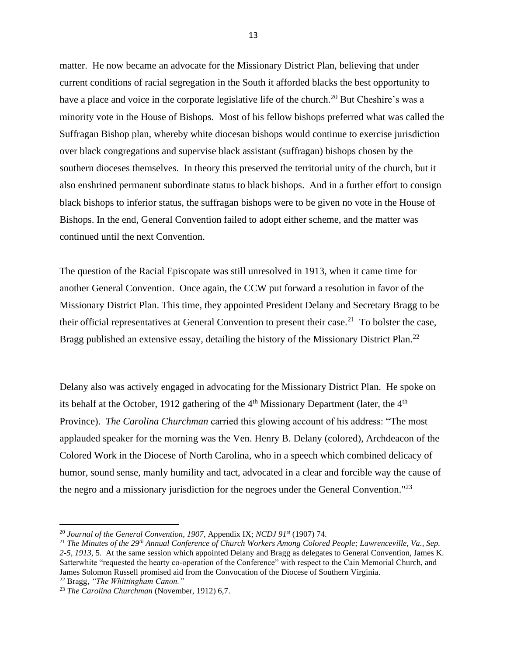matter. He now became an advocate for the Missionary District Plan, believing that under current conditions of racial segregation in the South it afforded blacks the best opportunity to have a place and voice in the corporate legislative life of the church.<sup>20</sup> But Cheshire's was a minority vote in the House of Bishops. Most of his fellow bishops preferred what was called the Suffragan Bishop plan, whereby white diocesan bishops would continue to exercise jurisdiction over black congregations and supervise black assistant (suffragan) bishops chosen by the southern dioceses themselves. In theory this preserved the territorial unity of the church, but it also enshrined permanent subordinate status to black bishops. And in a further effort to consign black bishops to inferior status, the suffragan bishops were to be given no vote in the House of Bishops. In the end, General Convention failed to adopt either scheme, and the matter was continued until the next Convention.

The question of the Racial Episcopate was still unresolved in 1913, when it came time for another General Convention. Once again, the CCW put forward a resolution in favor of the Missionary District Plan. This time, they appointed President Delany and Secretary Bragg to be their official representatives at General Convention to present their case.<sup>21</sup> To bolster the case, Bragg published an extensive essay, detailing the history of the Missionary District Plan.<sup>22</sup>

Delany also was actively engaged in advocating for the Missionary District Plan. He spoke on its behalf at the October, 1912 gathering of the  $4<sup>th</sup>$  Missionary Department (later, the  $4<sup>th</sup>$ Province). *The Carolina Churchman* carried this glowing account of his address: "The most applauded speaker for the morning was the Ven. Henry B. Delany (colored), Archdeacon of the Colored Work in the Diocese of North Carolina, who in a speech which combined delicacy of humor, sound sense, manly humility and tact, advocated in a clear and forcible way the cause of the negro and a missionary jurisdiction for the negroes under the General Convention."<sup>23</sup>

<sup>20</sup> *Journal of the General Convention, 1907*, Appendix IX; *NCDJ 91st* (1907) 74.

<sup>21</sup> *The Minutes of the 29th Annual Conference of Church Workers Among Colored People; Lawrenceville, Va., Sep. 2-5, 1913*, 5. At the same session which appointed Delany and Bragg as delegates to General Convention, James K. Satterwhite "requested the hearty co-operation of the Conference" with respect to the Cain Memorial Church, and James Solomon Russell promised aid from the Convocation of the Diocese of Southern Virginia.

<sup>22</sup> Bragg, *"The Whittingham Canon."*

<sup>23</sup> *The Carolina Churchman* (November, 1912) 6,7.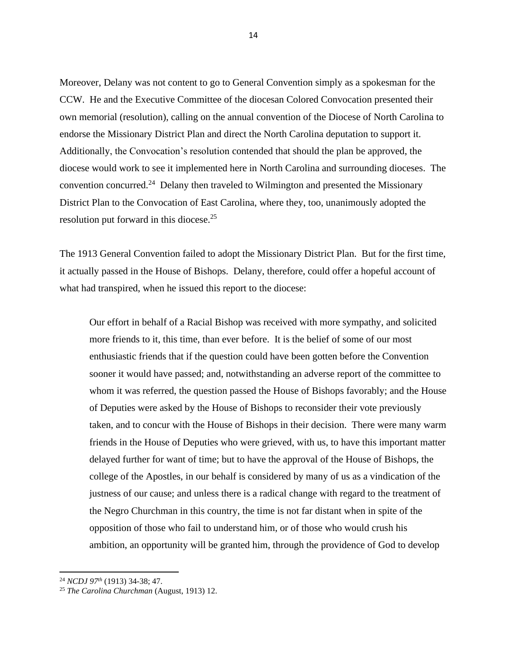Moreover, Delany was not content to go to General Convention simply as a spokesman for the CCW. He and the Executive Committee of the diocesan Colored Convocation presented their own memorial (resolution), calling on the annual convention of the Diocese of North Carolina to endorse the Missionary District Plan and direct the North Carolina deputation to support it. Additionally, the Convocation's resolution contended that should the plan be approved, the diocese would work to see it implemented here in North Carolina and surrounding dioceses. The convention concurred.<sup>24</sup> Delany then traveled to Wilmington and presented the Missionary District Plan to the Convocation of East Carolina, where they, too, unanimously adopted the resolution put forward in this diocese.<sup>25</sup>

The 1913 General Convention failed to adopt the Missionary District Plan. But for the first time, it actually passed in the House of Bishops. Delany, therefore, could offer a hopeful account of what had transpired, when he issued this report to the diocese:

Our effort in behalf of a Racial Bishop was received with more sympathy, and solicited more friends to it, this time, than ever before. It is the belief of some of our most enthusiastic friends that if the question could have been gotten before the Convention sooner it would have passed; and, notwithstanding an adverse report of the committee to whom it was referred, the question passed the House of Bishops favorably; and the House of Deputies were asked by the House of Bishops to reconsider their vote previously taken, and to concur with the House of Bishops in their decision. There were many warm friends in the House of Deputies who were grieved, with us, to have this important matter delayed further for want of time; but to have the approval of the House of Bishops, the college of the Apostles, in our behalf is considered by many of us as a vindication of the justness of our cause; and unless there is a radical change with regard to the treatment of the Negro Churchman in this country, the time is not far distant when in spite of the opposition of those who fail to understand him, or of those who would crush his ambition, an opportunity will be granted him, through the providence of God to develop

<sup>24</sup> *NCDJ 97th* (1913) 34-38; 47.

<sup>25</sup> *The Carolina Churchman* (August, 1913) 12.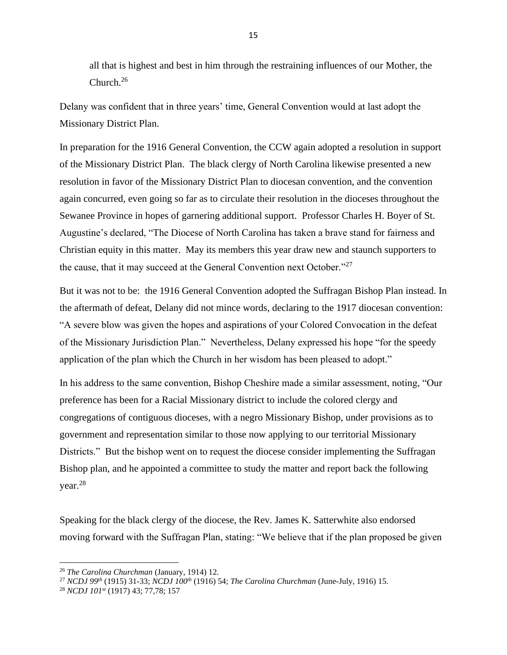all that is highest and best in him through the restraining influences of our Mother, the Church.<sup>26</sup>

Delany was confident that in three years' time, General Convention would at last adopt the Missionary District Plan.

In preparation for the 1916 General Convention, the CCW again adopted a resolution in support of the Missionary District Plan. The black clergy of North Carolina likewise presented a new resolution in favor of the Missionary District Plan to diocesan convention, and the convention again concurred, even going so far as to circulate their resolution in the dioceses throughout the Sewanee Province in hopes of garnering additional support. Professor Charles H. Boyer of St. Augustine's declared, "The Diocese of North Carolina has taken a brave stand for fairness and Christian equity in this matter. May its members this year draw new and staunch supporters to the cause, that it may succeed at the General Convention next October."<sup>27</sup>

But it was not to be: the 1916 General Convention adopted the Suffragan Bishop Plan instead. In the aftermath of defeat, Delany did not mince words, declaring to the 1917 diocesan convention: "A severe blow was given the hopes and aspirations of your Colored Convocation in the defeat of the Missionary Jurisdiction Plan." Nevertheless, Delany expressed his hope "for the speedy application of the plan which the Church in her wisdom has been pleased to adopt."

In his address to the same convention, Bishop Cheshire made a similar assessment, noting, "Our preference has been for a Racial Missionary district to include the colored clergy and congregations of contiguous dioceses, with a negro Missionary Bishop, under provisions as to government and representation similar to those now applying to our territorial Missionary Districts." But the bishop went on to request the diocese consider implementing the Suffragan Bishop plan, and he appointed a committee to study the matter and report back the following year.<sup>28</sup>

Speaking for the black clergy of the diocese, the Rev. James K. Satterwhite also endorsed moving forward with the Suffragan Plan, stating: "We believe that if the plan proposed be given

<sup>26</sup> *The Carolina Churchman* (January, 1914) 12.

<sup>27</sup> *NCDJ 99th* (1915) 31-33; *NCDJ 100th* (1916) 54; *The Carolina Churchman* (June-July, 1916) 15.

<sup>28</sup> *NCDJ 101st* (1917) 43; 77,78; 157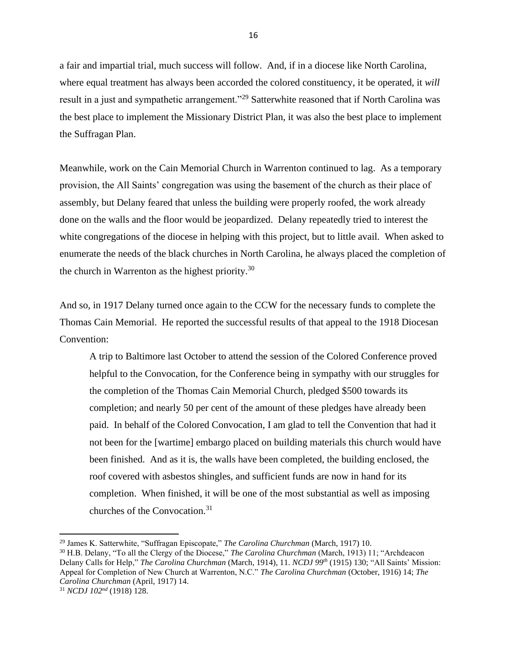a fair and impartial trial, much success will follow. And, if in a diocese like North Carolina, where equal treatment has always been accorded the colored constituency, it be operated, it *will*  result in a just and sympathetic arrangement."<sup>29</sup> Satterwhite reasoned that if North Carolina was the best place to implement the Missionary District Plan, it was also the best place to implement the Suffragan Plan.

Meanwhile, work on the Cain Memorial Church in Warrenton continued to lag. As a temporary provision, the All Saints' congregation was using the basement of the church as their place of assembly, but Delany feared that unless the building were properly roofed, the work already done on the walls and the floor would be jeopardized. Delany repeatedly tried to interest the white congregations of the diocese in helping with this project, but to little avail. When asked to enumerate the needs of the black churches in North Carolina, he always placed the completion of the church in Warrenton as the highest priority. $30$ 

And so, in 1917 Delany turned once again to the CCW for the necessary funds to complete the Thomas Cain Memorial. He reported the successful results of that appeal to the 1918 Diocesan Convention:

A trip to Baltimore last October to attend the session of the Colored Conference proved helpful to the Convocation, for the Conference being in sympathy with our struggles for the completion of the Thomas Cain Memorial Church, pledged \$500 towards its completion; and nearly 50 per cent of the amount of these pledges have already been paid. In behalf of the Colored Convocation, I am glad to tell the Convention that had it not been for the [wartime] embargo placed on building materials this church would have been finished. And as it is, the walls have been completed, the building enclosed, the roof covered with asbestos shingles, and sufficient funds are now in hand for its completion. When finished, it will be one of the most substantial as well as imposing churches of the Convocation.<sup>31</sup>

<sup>29</sup> James K. Satterwhite, "Suffragan Episcopate," *The Carolina Churchman* (March, 1917) 10.

<sup>30</sup> H.B. Delany, "To all the Clergy of the Diocese," *The Carolina Churchman* (March, 1913) 11; "Archdeacon Delany Calls for Help," *The Carolina Churchman* (March, 1914), 11. *NCDJ 99th* (1915) 130; "All Saints' Mission: Appeal for Completion of New Church at Warrenton, N.C." *The Carolina Churchman* (October, 1916) 14; *The Carolina Churchman* (April, 1917) 14.

<sup>31</sup> *NCDJ 102nd* (1918) 128.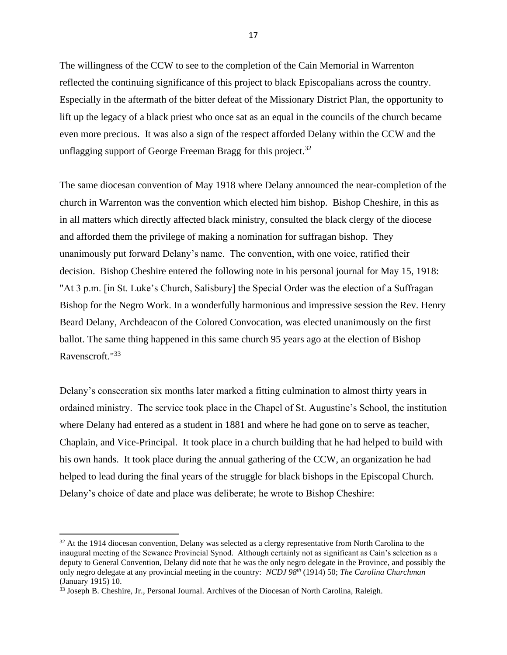The willingness of the CCW to see to the completion of the Cain Memorial in Warrenton reflected the continuing significance of this project to black Episcopalians across the country. Especially in the aftermath of the bitter defeat of the Missionary District Plan, the opportunity to lift up the legacy of a black priest who once sat as an equal in the councils of the church became even more precious. It was also a sign of the respect afforded Delany within the CCW and the unflagging support of George Freeman Bragg for this project.<sup>32</sup>

The same diocesan convention of May 1918 where Delany announced the near-completion of the church in Warrenton was the convention which elected him bishop. Bishop Cheshire, in this as in all matters which directly affected black ministry, consulted the black clergy of the diocese and afforded them the privilege of making a nomination for suffragan bishop. They unanimously put forward Delany's name. The convention, with one voice, ratified their decision. Bishop Cheshire entered the following note in his personal journal for May 15, 1918: "At 3 p.m. [in St. Luke's Church, Salisbury] the Special Order was the election of a Suffragan Bishop for the Negro Work. In a wonderfully harmonious and impressive session the Rev. Henry Beard Delany, Archdeacon of the Colored Convocation, was elected unanimously on the first ballot. The same thing happened in this same church 95 years ago at the election of Bishop Ravenscroft."<sup>33</sup>

Delany's consecration six months later marked a fitting culmination to almost thirty years in ordained ministry. The service took place in the Chapel of St. Augustine's School, the institution where Delany had entered as a student in 1881 and where he had gone on to serve as teacher, Chaplain, and Vice-Principal. It took place in a church building that he had helped to build with his own hands. It took place during the annual gathering of the CCW, an organization he had helped to lead during the final years of the struggle for black bishops in the Episcopal Church. Delany's choice of date and place was deliberate; he wrote to Bishop Cheshire:

<sup>&</sup>lt;sup>32</sup> At the 1914 diocesan convention, Delany was selected as a clergy representative from North Carolina to the inaugural meeting of the Sewanee Provincial Synod. Although certainly not as significant as Cain's selection as a deputy to General Convention, Delany did note that he was the only negro delegate in the Province, and possibly the only negro delegate at any provincial meeting in the country: *NCDJ 98th* (1914) 50; *The Carolina Churchman* (January 1915) 10.

<sup>&</sup>lt;sup>33</sup> Joseph B. Cheshire, Jr., Personal Journal. Archives of the Diocesan of North Carolina, Raleigh.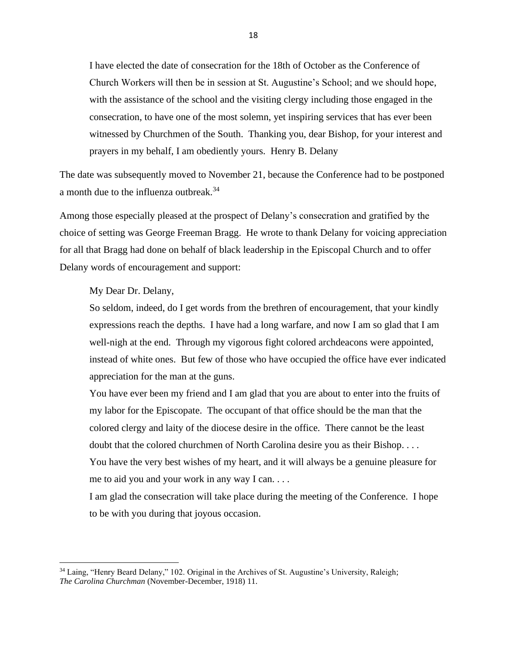I have elected the date of consecration for the 18th of October as the Conference of Church Workers will then be in session at St. Augustine's School; and we should hope, with the assistance of the school and the visiting clergy including those engaged in the consecration, to have one of the most solemn, yet inspiring services that has ever been witnessed by Churchmen of the South. Thanking you, dear Bishop, for your interest and prayers in my behalf, I am obediently yours. Henry B. Delany

The date was subsequently moved to November 21, because the Conference had to be postponed a month due to the influenza outbreak.<sup>34</sup>

Among those especially pleased at the prospect of Delany's consecration and gratified by the choice of setting was George Freeman Bragg. He wrote to thank Delany for voicing appreciation for all that Bragg had done on behalf of black leadership in the Episcopal Church and to offer Delany words of encouragement and support:

My Dear Dr. Delany,

So seldom, indeed, do I get words from the brethren of encouragement, that your kindly expressions reach the depths. I have had a long warfare, and now I am so glad that I am well-nigh at the end. Through my vigorous fight colored archdeacons were appointed, instead of white ones. But few of those who have occupied the office have ever indicated appreciation for the man at the guns.

You have ever been my friend and I am glad that you are about to enter into the fruits of my labor for the Episcopate. The occupant of that office should be the man that the colored clergy and laity of the diocese desire in the office. There cannot be the least doubt that the colored churchmen of North Carolina desire you as their Bishop. . . . You have the very best wishes of my heart, and it will always be a genuine pleasure for me to aid you and your work in any way I can. . . .

I am glad the consecration will take place during the meeting of the Conference. I hope to be with you during that joyous occasion.

<sup>&</sup>lt;sup>34</sup> Laing, "Henry Beard Delany," 102. Original in the Archives of St. Augustine's University, Raleigh; *The Carolina Churchman* (November-December, 1918) 11.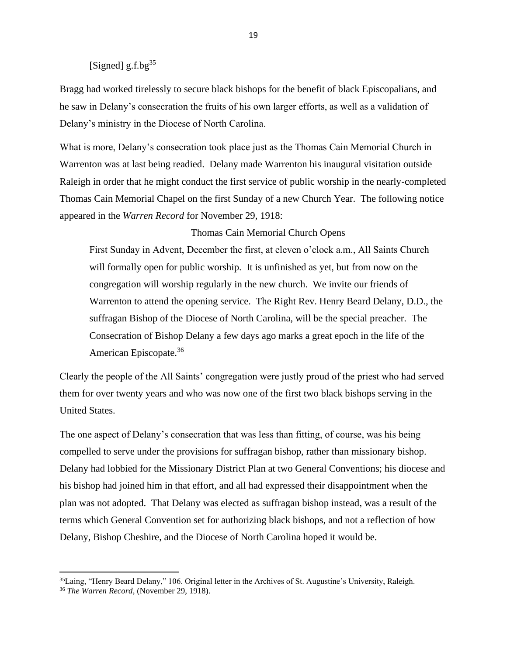## [Signed]  $g.f.bg<sup>35</sup>$

Bragg had worked tirelessly to secure black bishops for the benefit of black Episcopalians, and he saw in Delany's consecration the fruits of his own larger efforts, as well as a validation of Delany's ministry in the Diocese of North Carolina.

What is more, Delany's consecration took place just as the Thomas Cain Memorial Church in Warrenton was at last being readied. Delany made Warrenton his inaugural visitation outside Raleigh in order that he might conduct the first service of public worship in the nearly-completed Thomas Cain Memorial Chapel on the first Sunday of a new Church Year. The following notice appeared in the *Warren Record* for November 29, 1918:

## Thomas Cain Memorial Church Opens

First Sunday in Advent, December the first, at eleven o'clock a.m., All Saints Church will formally open for public worship. It is unfinished as yet, but from now on the congregation will worship regularly in the new church. We invite our friends of Warrenton to attend the opening service. The Right Rev. Henry Beard Delany, D.D., the suffragan Bishop of the Diocese of North Carolina, will be the special preacher. The Consecration of Bishop Delany a few days ago marks a great epoch in the life of the American Episcopate.<sup>36</sup>

Clearly the people of the All Saints' congregation were justly proud of the priest who had served them for over twenty years and who was now one of the first two black bishops serving in the United States.

The one aspect of Delany's consecration that was less than fitting, of course, was his being compelled to serve under the provisions for suffragan bishop, rather than missionary bishop. Delany had lobbied for the Missionary District Plan at two General Conventions; his diocese and his bishop had joined him in that effort, and all had expressed their disappointment when the plan was not adopted. That Delany was elected as suffragan bishop instead, was a result of the terms which General Convention set for authorizing black bishops, and not a reflection of how Delany, Bishop Cheshire, and the Diocese of North Carolina hoped it would be.

<sup>&</sup>lt;sup>35</sup>Laing, "Henry Beard Delany," 106. Original letter in the Archives of St. Augustine's University, Raleigh.

<sup>36</sup> *The Warren Record*, (November 29, 1918).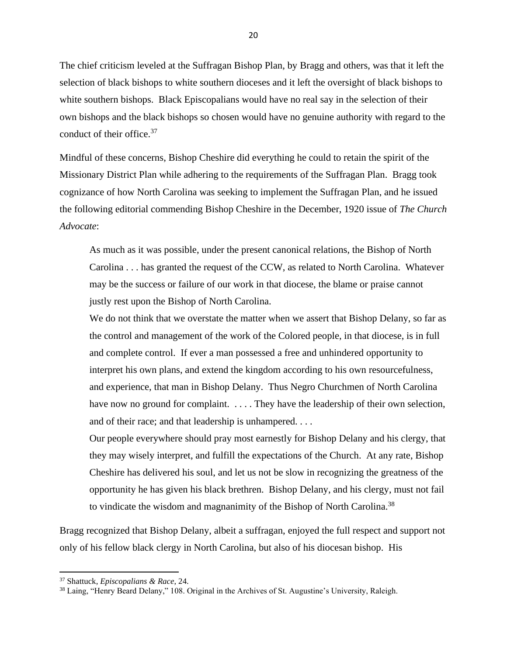The chief criticism leveled at the Suffragan Bishop Plan, by Bragg and others, was that it left the selection of black bishops to white southern dioceses and it left the oversight of black bishops to white southern bishops. Black Episcopalians would have no real say in the selection of their own bishops and the black bishops so chosen would have no genuine authority with regard to the conduct of their office.<sup>37</sup>

Mindful of these concerns, Bishop Cheshire did everything he could to retain the spirit of the Missionary District Plan while adhering to the requirements of the Suffragan Plan. Bragg took cognizance of how North Carolina was seeking to implement the Suffragan Plan, and he issued the following editorial commending Bishop Cheshire in the December, 1920 issue of *The Church Advocate*:

As much as it was possible, under the present canonical relations, the Bishop of North Carolina . . . has granted the request of the CCW, as related to North Carolina. Whatever may be the success or failure of our work in that diocese, the blame or praise cannot justly rest upon the Bishop of North Carolina.

We do not think that we overstate the matter when we assert that Bishop Delany, so far as the control and management of the work of the Colored people, in that diocese, is in full and complete control. If ever a man possessed a free and unhindered opportunity to interpret his own plans, and extend the kingdom according to his own resourcefulness, and experience, that man in Bishop Delany. Thus Negro Churchmen of North Carolina have now no ground for complaint. . . . . They have the leadership of their own selection, and of their race; and that leadership is unhampered. . . .

Our people everywhere should pray most earnestly for Bishop Delany and his clergy, that they may wisely interpret, and fulfill the expectations of the Church. At any rate, Bishop Cheshire has delivered his soul, and let us not be slow in recognizing the greatness of the opportunity he has given his black brethren. Bishop Delany, and his clergy, must not fail to vindicate the wisdom and magnanimity of the Bishop of North Carolina.<sup>38</sup>

Bragg recognized that Bishop Delany, albeit a suffragan, enjoyed the full respect and support not only of his fellow black clergy in North Carolina, but also of his diocesan bishop. His

<sup>37</sup> Shattuck, *Episcopalians & Race*, 24.

<sup>&</sup>lt;sup>38</sup> Laing, "Henry Beard Delany," 108. Original in the Archives of St. Augustine's University, Raleigh.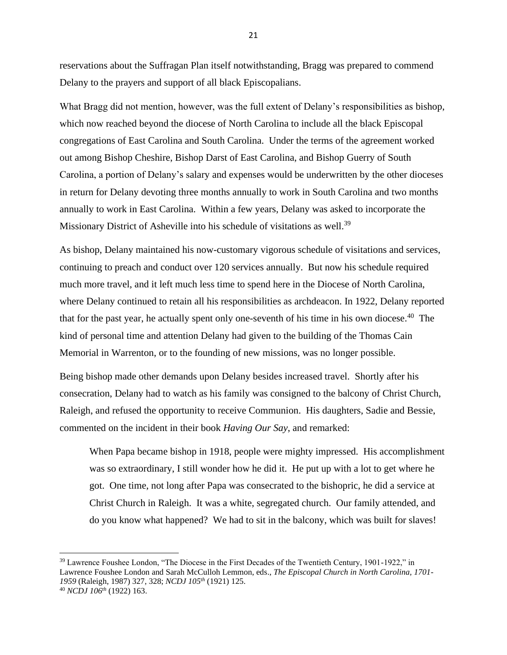reservations about the Suffragan Plan itself notwithstanding, Bragg was prepared to commend Delany to the prayers and support of all black Episcopalians.

What Bragg did not mention, however, was the full extent of Delany's responsibilities as bishop, which now reached beyond the diocese of North Carolina to include all the black Episcopal congregations of East Carolina and South Carolina. Under the terms of the agreement worked out among Bishop Cheshire, Bishop Darst of East Carolina, and Bishop Guerry of South Carolina, a portion of Delany's salary and expenses would be underwritten by the other dioceses in return for Delany devoting three months annually to work in South Carolina and two months annually to work in East Carolina. Within a few years, Delany was asked to incorporate the Missionary District of Asheville into his schedule of visitations as well.<sup>39</sup>

As bishop, Delany maintained his now-customary vigorous schedule of visitations and services, continuing to preach and conduct over 120 services annually. But now his schedule required much more travel, and it left much less time to spend here in the Diocese of North Carolina, where Delany continued to retain all his responsibilities as archdeacon. In 1922, Delany reported that for the past year, he actually spent only one-seventh of his time in his own diocese.<sup>40</sup> The kind of personal time and attention Delany had given to the building of the Thomas Cain Memorial in Warrenton, or to the founding of new missions, was no longer possible.

Being bishop made other demands upon Delany besides increased travel. Shortly after his consecration, Delany had to watch as his family was consigned to the balcony of Christ Church, Raleigh, and refused the opportunity to receive Communion. His daughters, Sadie and Bessie, commented on the incident in their book *Having Our Say*, and remarked:

When Papa became bishop in 1918, people were mighty impressed. His accomplishment was so extraordinary, I still wonder how he did it. He put up with a lot to get where he got. One time, not long after Papa was consecrated to the bishopric, he did a service at Christ Church in Raleigh. It was a white, segregated church. Our family attended, and do you know what happened? We had to sit in the balcony, which was built for slaves!

<sup>39</sup> Lawrence Foushee London, "The Diocese in the First Decades of the Twentieth Century, 1901-1922," in Lawrence Foushee London and Sarah McCulloh Lemmon, eds., *The Episcopal Church in North Carolina, 1701- 1959* (Raleigh, 1987) 327, 328; *NCDJ 105th* (1921) 125. <sup>40</sup> *NCDJ 106th* (1922) 163.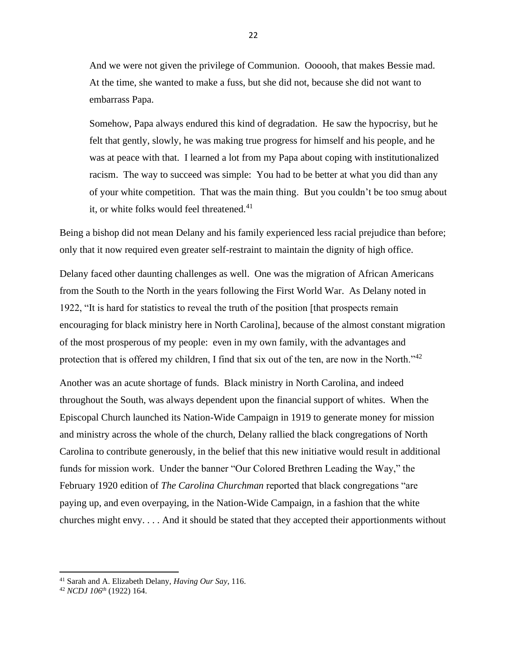And we were not given the privilege of Communion. Oooooh, that makes Bessie mad. At the time, she wanted to make a fuss, but she did not, because she did not want to embarrass Papa.

Somehow, Papa always endured this kind of degradation. He saw the hypocrisy, but he felt that gently, slowly, he was making true progress for himself and his people, and he was at peace with that. I learned a lot from my Papa about coping with institutionalized racism. The way to succeed was simple: You had to be better at what you did than any of your white competition. That was the main thing. But you couldn't be too smug about it, or white folks would feel threatened.<sup>41</sup>

Being a bishop did not mean Delany and his family experienced less racial prejudice than before; only that it now required even greater self-restraint to maintain the dignity of high office.

Delany faced other daunting challenges as well. One was the migration of African Americans from the South to the North in the years following the First World War. As Delany noted in 1922, "It is hard for statistics to reveal the truth of the position [that prospects remain encouraging for black ministry here in North Carolina], because of the almost constant migration of the most prosperous of my people: even in my own family, with the advantages and protection that is offered my children, I find that six out of the ten, are now in the North."<sup>42</sup>

Another was an acute shortage of funds. Black ministry in North Carolina, and indeed throughout the South, was always dependent upon the financial support of whites. When the Episcopal Church launched its Nation-Wide Campaign in 1919 to generate money for mission and ministry across the whole of the church, Delany rallied the black congregations of North Carolina to contribute generously, in the belief that this new initiative would result in additional funds for mission work. Under the banner "Our Colored Brethren Leading the Way," the February 1920 edition of *The Carolina Churchman* reported that black congregations "are paying up, and even overpaying, in the Nation-Wide Campaign, in a fashion that the white churches might envy. . . . And it should be stated that they accepted their apportionments without

<sup>41</sup> Sarah and A. Elizabeth Delany, *Having Our Say*, 116.

<sup>42</sup> *NCDJ 106th* (1922) 164.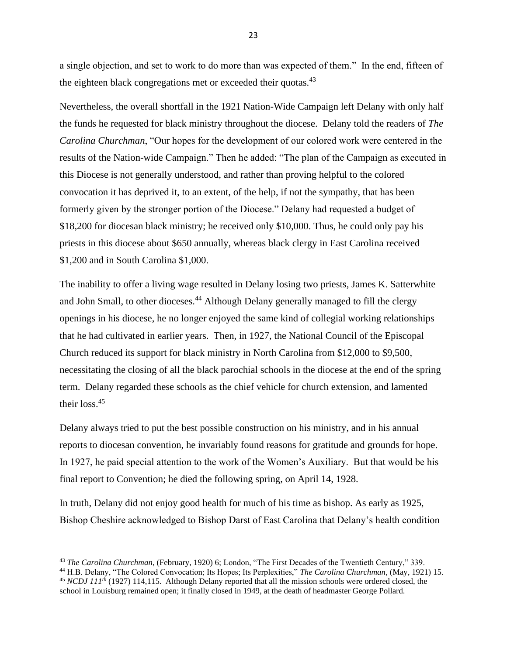a single objection, and set to work to do more than was expected of them." In the end, fifteen of the eighteen black congregations met or exceeded their quotas. $43$ 

Nevertheless, the overall shortfall in the 1921 Nation-Wide Campaign left Delany with only half the funds he requested for black ministry throughout the diocese. Delany told the readers of *The Carolina Churchman*, "Our hopes for the development of our colored work were centered in the results of the Nation-wide Campaign." Then he added: "The plan of the Campaign as executed in this Diocese is not generally understood, and rather than proving helpful to the colored convocation it has deprived it, to an extent, of the help, if not the sympathy, that has been formerly given by the stronger portion of the Diocese." Delany had requested a budget of \$18,200 for diocesan black ministry; he received only \$10,000. Thus, he could only pay his priests in this diocese about \$650 annually, whereas black clergy in East Carolina received \$1,200 and in South Carolina \$1,000.

The inability to offer a living wage resulted in Delany losing two priests, James K. Satterwhite and John Small, to other dioceses.<sup>44</sup> Although Delany generally managed to fill the clergy openings in his diocese, he no longer enjoyed the same kind of collegial working relationships that he had cultivated in earlier years. Then, in 1927, the National Council of the Episcopal Church reduced its support for black ministry in North Carolina from \$12,000 to \$9,500, necessitating the closing of all the black parochial schools in the diocese at the end of the spring term. Delany regarded these schools as the chief vehicle for church extension, and lamented their loss.<sup>45</sup>

Delany always tried to put the best possible construction on his ministry, and in his annual reports to diocesan convention, he invariably found reasons for gratitude and grounds for hope. In 1927, he paid special attention to the work of the Women's Auxiliary. But that would be his final report to Convention; he died the following spring, on April 14, 1928.

In truth, Delany did not enjoy good health for much of his time as bishop. As early as 1925, Bishop Cheshire acknowledged to Bishop Darst of East Carolina that Delany's health condition

<sup>43</sup> *The Carolina Churchman*, (February, 1920) 6; London, "The First Decades of the Twentieth Century," 339.

<sup>44</sup> H.B. Delany, "The Colored Convocation; Its Hopes; Its Perplexities," *The Carolina Churchman*, (May, 1921) 15. <sup>45</sup> *NCDJ 111<sup>th</sup>* (1927) 114,115. Although Delany reported that all the mission schools were ordered closed, the

school in Louisburg remained open; it finally closed in 1949, at the death of headmaster George Pollard.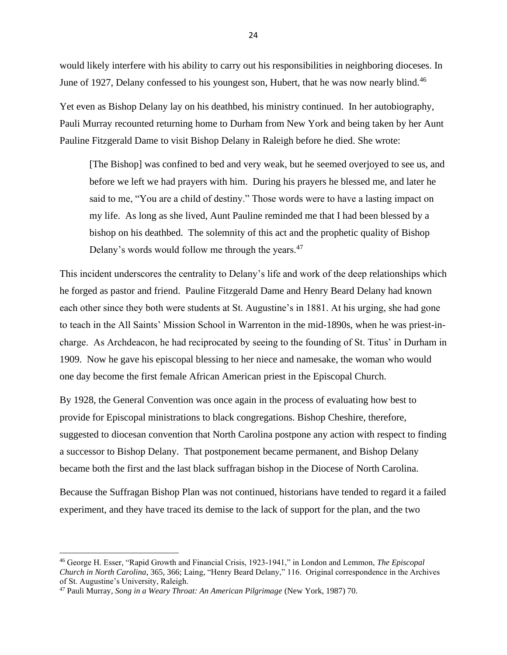would likely interfere with his ability to carry out his responsibilities in neighboring dioceses. In June of 1927, Delany confessed to his youngest son, Hubert, that he was now nearly blind.<sup>46</sup>

Yet even as Bishop Delany lay on his deathbed, his ministry continued. In her autobiography, Pauli Murray recounted returning home to Durham from New York and being taken by her Aunt Pauline Fitzgerald Dame to visit Bishop Delany in Raleigh before he died. She wrote:

[The Bishop] was confined to bed and very weak, but he seemed overjoyed to see us, and before we left we had prayers with him. During his prayers he blessed me, and later he said to me, "You are a child of destiny." Those words were to have a lasting impact on my life. As long as she lived, Aunt Pauline reminded me that I had been blessed by a bishop on his deathbed. The solemnity of this act and the prophetic quality of Bishop Delany's words would follow me through the years.<sup>47</sup>

This incident underscores the centrality to Delany's life and work of the deep relationships which he forged as pastor and friend. Pauline Fitzgerald Dame and Henry Beard Delany had known each other since they both were students at St. Augustine's in 1881. At his urging, she had gone to teach in the All Saints' Mission School in Warrenton in the mid-1890s, when he was priest-incharge. As Archdeacon, he had reciprocated by seeing to the founding of St. Titus' in Durham in 1909. Now he gave his episcopal blessing to her niece and namesake, the woman who would one day become the first female African American priest in the Episcopal Church.

By 1928, the General Convention was once again in the process of evaluating how best to provide for Episcopal ministrations to black congregations. Bishop Cheshire, therefore, suggested to diocesan convention that North Carolina postpone any action with respect to finding a successor to Bishop Delany. That postponement became permanent, and Bishop Delany became both the first and the last black suffragan bishop in the Diocese of North Carolina.

Because the Suffragan Bishop Plan was not continued, historians have tended to regard it a failed experiment, and they have traced its demise to the lack of support for the plan, and the two

<sup>46</sup> George H. Esser, "Rapid Growth and Financial Crisis, 1923-1941," in London and Lemmon, *The Episcopal Church in North Carolina*, 365, 366; Laing, "Henry Beard Delany," 116. Original correspondence in the Archives of St. Augustine's University, Raleigh.

<sup>47</sup> Pauli Murray, *Song in a Weary Throat: An American Pilgrimage* (New York, 1987) 70.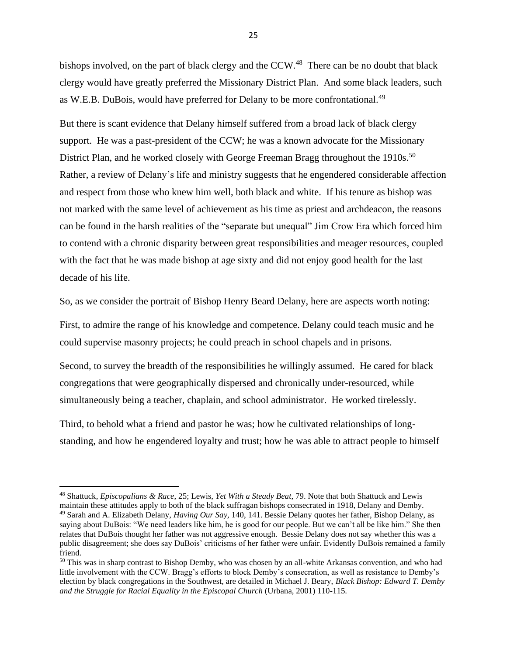bishops involved, on the part of black clergy and the CCW.<sup>48</sup> There can be no doubt that black clergy would have greatly preferred the Missionary District Plan. And some black leaders, such as W.E.B. DuBois, would have preferred for Delany to be more confrontational.<sup>49</sup>

But there is scant evidence that Delany himself suffered from a broad lack of black clergy support. He was a past-president of the CCW; he was a known advocate for the Missionary District Plan, and he worked closely with George Freeman Bragg throughout the 1910s.<sup>50</sup> Rather, a review of Delany's life and ministry suggests that he engendered considerable affection and respect from those who knew him well, both black and white. If his tenure as bishop was not marked with the same level of achievement as his time as priest and archdeacon, the reasons can be found in the harsh realities of the "separate but unequal" Jim Crow Era which forced him to contend with a chronic disparity between great responsibilities and meager resources, coupled with the fact that he was made bishop at age sixty and did not enjoy good health for the last decade of his life.

So, as we consider the portrait of Bishop Henry Beard Delany, here are aspects worth noting:

First, to admire the range of his knowledge and competence. Delany could teach music and he could supervise masonry projects; he could preach in school chapels and in prisons.

Second, to survey the breadth of the responsibilities he willingly assumed. He cared for black congregations that were geographically dispersed and chronically under-resourced, while simultaneously being a teacher, chaplain, and school administrator. He worked tirelessly.

Third, to behold what a friend and pastor he was; how he cultivated relationships of longstanding, and how he engendered loyalty and trust; how he was able to attract people to himself

<sup>48</sup> Shattuck, *Episcopalians & Race*, 25; Lewis, *Yet With a Steady Beat*, 79. Note that both Shattuck and Lewis maintain these attitudes apply to both of the black suffragan bishops consecrated in 1918, Delany and Demby. <sup>49</sup> Sarah and A. Elizabeth Delany, *Having Our Say,* 140, 141. Bessie Delany quotes her father, Bishop Delany, as saying about DuBois: "We need leaders like him, he is good for our people. But we can't all be like him." She then relates that DuBois thought her father was not aggressive enough. Bessie Delany does not say whether this was a public disagreement; she does say DuBois' criticisms of her father were unfair. Evidently DuBois remained a family friend.

<sup>&</sup>lt;sup>50</sup> This was in sharp contrast to Bishop Demby, who was chosen by an all-white Arkansas convention, and who had little involvement with the CCW. Bragg's efforts to block Demby's consecration, as well as resistance to Demby's election by black congregations in the Southwest, are detailed in Michael J. Beary, *Black Bishop: Edward T. Demby and the Struggle for Racial Equality in the Episcopal Church* (Urbana, 2001) 110-115.